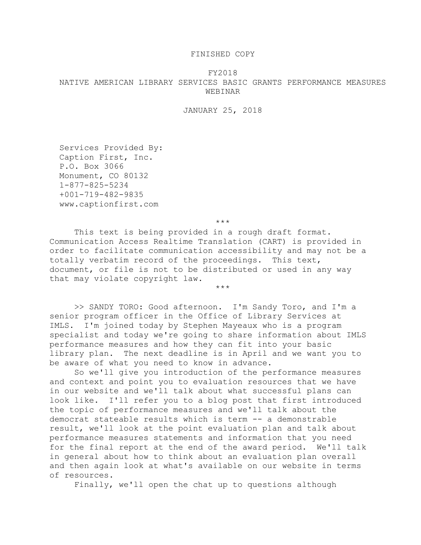## FINISHED COPY

## FY2018 NATIVE AMERICAN LIBRARY SERVICES BASIC GRANTS PERFORMANCE MEASURES WEBINAR

## JANUARY 25, 2018

Services Provided By: Caption First, Inc. P.O. Box 3066 Monument, CO 80132 1-877-825-5234 +001-719-482-9835 www.captionfirst.com

\*\*\*

\*\*\*

This text is being provided in a rough draft format. Communication Access Realtime Translation (CART) is provided in order to facilitate communication accessibility and may not be a totally verbatim record of the proceedings. This text, document, or file is not to be distributed or used in any way that may violate copyright law.

>> SANDY TORO: Good afternoon. I'm Sandy Toro, and I'm a senior program officer in the Office of Library Services at IMLS. I'm joined today by Stephen Mayeaux who is a program specialist and today we're going to share information about IMLS performance measures and how they can fit into your basic library plan. The next deadline is in April and we want you to be aware of what you need to know in advance.

So we'll give you introduction of the performance measures and context and point you to evaluation resources that we have in our website and we'll talk about what successful plans can look like. I'll refer you to a blog post that first introduced the topic of performance measures and we'll talk about the democrat stateable results which is term -- a demonstrable result, we'll look at the point evaluation plan and talk about performance measures statements and information that you need for the final report at the end of the award period. We'll talk in general about how to think about an evaluation plan overall and then again look at what's available on our website in terms of resources.

Finally, we'll open the chat up to questions although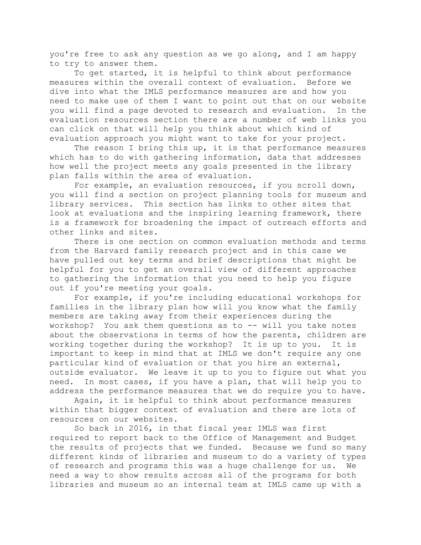you're free to ask any question as we go along, and I am happy to try to answer them.

To get started, it is helpful to think about performance measures within the overall context of evaluation. Before we dive into what the IMLS performance measures are and how you need to make use of them I want to point out that on our website you will find a page devoted to research and evaluation. In the evaluation resources section there are a number of web links you can click on that will help you think about which kind of evaluation approach you might want to take for your project.

The reason I bring this up, it is that performance measures which has to do with gathering information, data that addresses how well the project meets any goals presented in the library plan falls within the area of evaluation.

For example, an evaluation resources, if you scroll down, you will find a section on project planning tools for museum and library services. This section has links to other sites that look at evaluations and the inspiring learning framework, there is a framework for broadening the impact of outreach efforts and other links and sites.

There is one section on common evaluation methods and terms from the Harvard family research project and in this case we have pulled out key terms and brief descriptions that might be helpful for you to get an overall view of different approaches to gathering the information that you need to help you figure out if you're meeting your goals.

For example, if you're including educational workshops for families in the library plan how will you know what the family members are taking away from their experiences during the workshop? You ask them questions as to -- will you take notes about the observations in terms of how the parents, children are working together during the workshop? It is up to you. It is important to keep in mind that at IMLS we don't require any one particular kind of evaluation or that you hire an external, outside evaluator. We leave it up to you to figure out what you need. In most cases, if you have a plan, that will help you to address the performance measures that we do require you to have.

Again, it is helpful to think about performance measures within that bigger context of evaluation and there are lots of resources on our websites.

So back in 2016, in that fiscal year IMLS was first required to report back to the Office of Management and Budget the results of projects that we funded. Because we fund so many different kinds of libraries and museum to do a variety of types of research and programs this was a huge challenge for us. We need a way to show results across all of the programs for both libraries and museum so an internal team at IMLS came up with a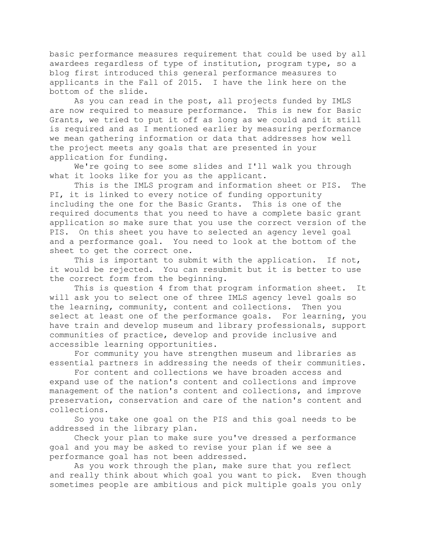basic performance measures requirement that could be used by all awardees regardless of type of institution, program type, so a blog first introduced this general performance measures to applicants in the Fall of 2015. I have the link here on the bottom of the slide.

As you can read in the post, all projects funded by IMLS are now required to measure performance. This is new for Basic Grants, we tried to put it off as long as we could and it still is required and as I mentioned earlier by measuring performance we mean gathering information or data that addresses how well the project meets any goals that are presented in your application for funding.

We're going to see some slides and I'll walk you through what it looks like for you as the applicant.

This is the IMLS program and information sheet or PIS. The PI, it is linked to every notice of funding opportunity including the one for the Basic Grants. This is one of the required documents that you need to have a complete basic grant application so make sure that you use the correct version of the PIS. On this sheet you have to selected an agency level goal and a performance goal. You need to look at the bottom of the sheet to get the correct one.

This is important to submit with the application. If not, it would be rejected. You can resubmit but it is better to use the correct form from the beginning.

This is question 4 from that program information sheet. It will ask you to select one of three IMLS agency level goals so the learning, community, content and collections. Then you select at least one of the performance goals. For learning, you have train and develop museum and library professionals, support communities of practice, develop and provide inclusive and accessible learning opportunities.

For community you have strengthen museum and libraries as essential partners in addressing the needs of their communities.

For content and collections we have broaden access and expand use of the nation's content and collections and improve management of the nation's content and collections, and improve preservation, conservation and care of the nation's content and collections.

So you take one goal on the PIS and this goal needs to be addressed in the library plan.

Check your plan to make sure you've dressed a performance goal and you may be asked to revise your plan if we see a performance goal has not been addressed.

As you work through the plan, make sure that you reflect and really think about which goal you want to pick. Even though sometimes people are ambitious and pick multiple goals you only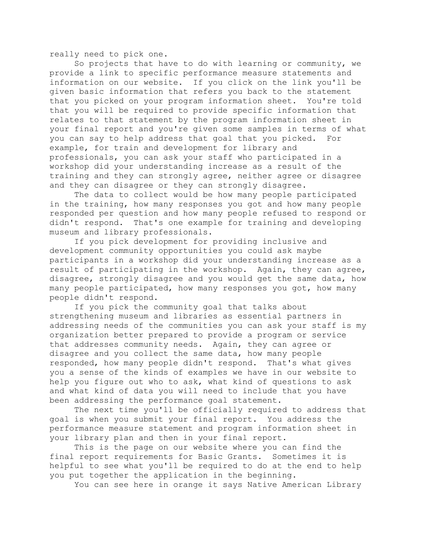really need to pick one.

So projects that have to do with learning or community, we provide a link to specific performance measure statements and information on our website. If you click on the link you'll be given basic information that refers you back to the statement that you picked on your program information sheet. You're told that you will be required to provide specific information that relates to that statement by the program information sheet in your final report and you're given some samples in terms of what you can say to help address that goal that you picked. For example, for train and development for library and professionals, you can ask your staff who participated in a workshop did your understanding increase as a result of the training and they can strongly agree, neither agree or disagree and they can disagree or they can strongly disagree.

The data to collect would be how many people participated in the training, how many responses you got and how many people responded per question and how many people refused to respond or didn't respond. That's one example for training and developing museum and library professionals.

If you pick development for providing inclusive and development community opportunities you could ask maybe participants in a workshop did your understanding increase as a result of participating in the workshop. Again, they can agree, disagree, strongly disagree and you would get the same data, how many people participated, how many responses you got, how many people didn't respond.

If you pick the community goal that talks about strengthening museum and libraries as essential partners in addressing needs of the communities you can ask your staff is my organization better prepared to provide a program or service that addresses community needs. Again, they can agree or disagree and you collect the same data, how many people responded, how many people didn't respond. That's what gives you a sense of the kinds of examples we have in our website to help you figure out who to ask, what kind of questions to ask and what kind of data you will need to include that you have been addressing the performance goal statement.

The next time you'll be officially required to address that goal is when you submit your final report. You address the performance measure statement and program information sheet in your library plan and then in your final report.

This is the page on our website where you can find the final report requirements for Basic Grants. Sometimes it is helpful to see what you'll be required to do at the end to help you put together the application in the beginning.

You can see here in orange it says Native American Library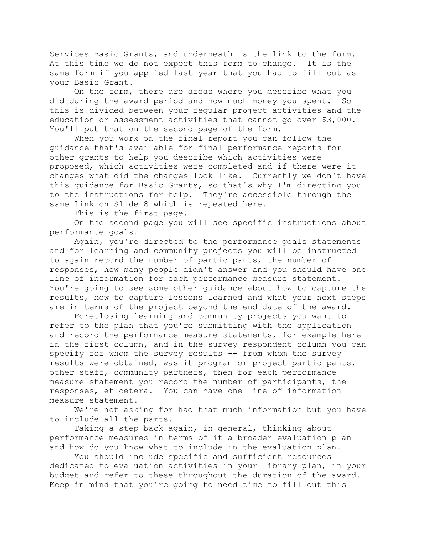Services Basic Grants, and underneath is the link to the form. At this time we do not expect this form to change. It is the same form if you applied last year that you had to fill out as your Basic Grant.

On the form, there are areas where you describe what you did during the award period and how much money you spent. So this is divided between your regular project activities and the education or assessment activities that cannot go over \$3,000. You'll put that on the second page of the form.

When you work on the final report you can follow the guidance that's available for final performance reports for other grants to help you describe which activities were proposed, which activities were completed and if there were it changes what did the changes look like. Currently we don't have this guidance for Basic Grants, so that's why I'm directing you to the instructions for help. They're accessible through the same link on Slide 8 which is repeated here.

This is the first page.

On the second page you will see specific instructions about performance goals.

Again, you're directed to the performance goals statements and for learning and community projects you will be instructed to again record the number of participants, the number of responses, how many people didn't answer and you should have one line of information for each performance measure statement. You're going to see some other guidance about how to capture the results, how to capture lessons learned and what your next steps are in terms of the project beyond the end date of the award.

Foreclosing learning and community projects you want to refer to the plan that you're submitting with the application and record the performance measure statements, for example here in the first column, and in the survey respondent column you can specify for whom the survey results -- from whom the survey results were obtained, was it program or project participants, other staff, community partners, then for each performance measure statement you record the number of participants, the responses, et cetera. You can have one line of information measure statement.

We're not asking for had that much information but you have to include all the parts.

Taking a step back again, in general, thinking about performance measures in terms of it a broader evaluation plan and how do you know what to include in the evaluation plan.

You should include specific and sufficient resources dedicated to evaluation activities in your library plan, in your budget and refer to these throughout the duration of the award. Keep in mind that you're going to need time to fill out this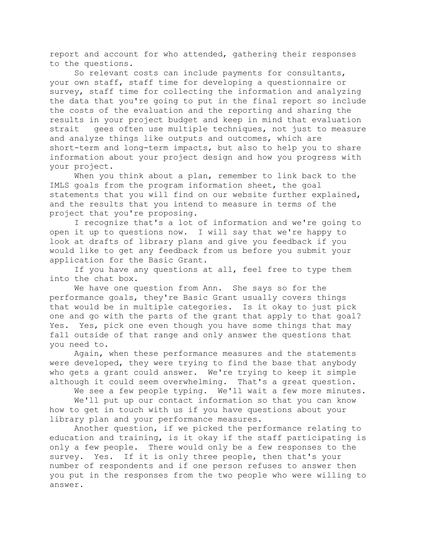report and account for who attended, gathering their responses to the questions.

So relevant costs can include payments for consultants, your own staff, staff time for developing a questionnaire or survey, staff time for collecting the information and analyzing the data that you're going to put in the final report so include the costs of the evaluation and the reporting and sharing the results in your project budget and keep in mind that evaluation strait gees often use multiple techniques, not just to measure and analyze things like outputs and outcomes, which are short-term and long-term impacts, but also to help you to share information about your project design and how you progress with your project.

When you think about a plan, remember to link back to the IMLS goals from the program information sheet, the goal statements that you will find on our website further explained, and the results that you intend to measure in terms of the project that you're proposing.

I recognize that's a lot of information and we're going to open it up to questions now. I will say that we're happy to look at drafts of library plans and give you feedback if you would like to get any feedback from us before you submit your application for the Basic Grant.

If you have any questions at all, feel free to type them into the chat box.

We have one question from Ann. She says so for the performance goals, they're Basic Grant usually covers things that would be in multiple categories. Is it okay to just pick one and go with the parts of the grant that apply to that goal? Yes. Yes, pick one even though you have some things that may fall outside of that range and only answer the questions that you need to.

Again, when these performance measures and the statements were developed, they were trying to find the base that anybody who gets a grant could answer. We're trying to keep it simple although it could seem overwhelming. That's a great question.

We see a few people typing. We'll wait a few more minutes.

We'll put up our contact information so that you can know how to get in touch with us if you have questions about your library plan and your performance measures.

Another question, if we picked the performance relating to education and training, is it okay if the staff participating is only a few people. There would only be a few responses to the survey. Yes. If it is only three people, then that's your number of respondents and if one person refuses to answer then you put in the responses from the two people who were willing to answer.